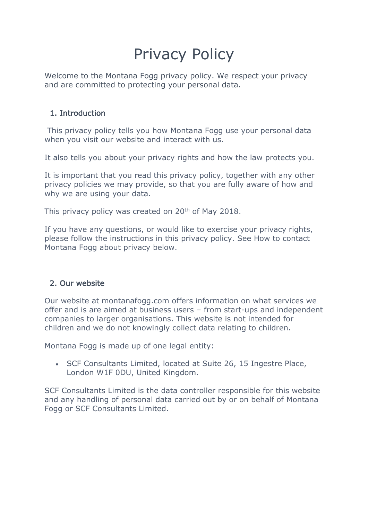# Privacy Policy

Welcome to the Montana Fogg privacy policy. We respect your privacy and are committed to protecting your personal data.

# 1. Introduction

This privacy policy tells you how Montana Fogg use your personal data when you visit our website and interact with us.

It also tells you about your privacy rights and how the law protects you.

It is important that you read this privacy policy, together with any other privacy policies we may provide, so that you are fully aware of how and why we are using your data.

This privacy policy was created on 20<sup>th</sup> of May 2018.

If you have any questions, or would like to exercise your privacy rights, please follow the instructions in this privacy policy. See How to contact Montana Fogg about privacy below.

# 2. Our website

Our website at montanafogg.com offers information on what services we offer and is are aimed at business users – from start-ups and independent companies to larger organisations. This website is not intended for children and we do not knowingly collect data relating to children.

Montana Fogg is made up of one legal entity:

• SCF Consultants Limited, located at Suite 26, 15 Ingestre Place, London W1F 0DU, United Kingdom.

SCF Consultants Limited is the data controller responsible for this website and any handling of personal data carried out by or on behalf of Montana Fogg or SCF Consultants Limited.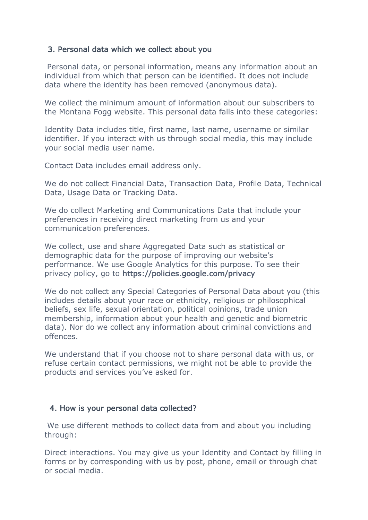## 3. Personal data which we collect about you

Personal data, or personal information, means any information about an individual from which that person can be identified. It does not include data where the identity has been removed (anonymous data).

We collect the minimum amount of information about our subscribers to the Montana Fogg website. This personal data falls into these categories:

Identity Data includes title, first name, last name, username or similar identifier. If you interact with us through social media, this may include your social media user name.

Contact Data includes email address only.

We do not collect Financial Data, Transaction Data, Profile Data, Technical Data, Usage Data or Tracking Data.

We do collect Marketing and Communications Data that include your preferences in receiving direct marketing from us and your communication preferences.

We collect, use and share Aggregated Data such as statistical or demographic data for the purpose of improving our website's performance. We use Google Analytics for this purpose. To see their privacy policy, go to https://policies.google.com/privacy

We do not collect any Special Categories of Personal Data about you (this includes details about your race or ethnicity, religious or philosophical beliefs, sex life, sexual orientation, political opinions, trade union membership, information about your health and genetic and biometric data). Nor do we collect any information about criminal convictions and offences.

We understand that if you choose not to share personal data with us, or refuse certain contact permissions, we might not be able to provide the products and services you've asked for.

## 4. How is your personal data collected?

We use different methods to collect data from and about you including through:

Direct interactions. You may give us your Identity and Contact by filling in forms or by corresponding with us by post, phone, email or through chat or social media.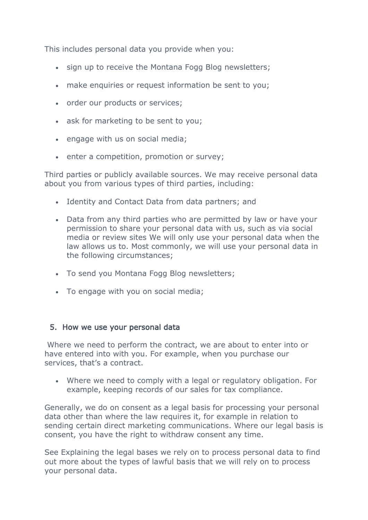This includes personal data you provide when you:

- sign up to receive the Montana Fogg Blog newsletters;
- make enquiries or request information be sent to you;
- order our products or services;
- ask for marketing to be sent to you;
- engage with us on social media;
- enter a competition, promotion or survey;

Third parties or publicly available sources. We may receive personal data about you from various types of third parties, including:

- Identity and Contact Data from data partners; and
- Data from any third parties who are permitted by law or have your permission to share your personal data with us, such as via social media or review sites We will only use your personal data when the law allows us to. Most commonly, we will use your personal data in the following circumstances;
- To send you Montana Fogg Blog newsletters;
- To engage with you on social media;

## 5. How we use your personal data

Where we need to perform the contract, we are about to enter into or have entered into with you. For example, when you purchase our services, that's a contract.

• Where we need to comply with a legal or regulatory obligation. For example, keeping records of our sales for tax compliance.

Generally, we do on consent as a legal basis for processing your personal data other than where the law requires it, for example in relation to sending certain direct marketing communications. Where our legal basis is consent, you have the right to withdraw consent any time.

See Explaining the legal bases we rely on to process personal data to find out more about the types of lawful basis that we will rely on to process your personal data.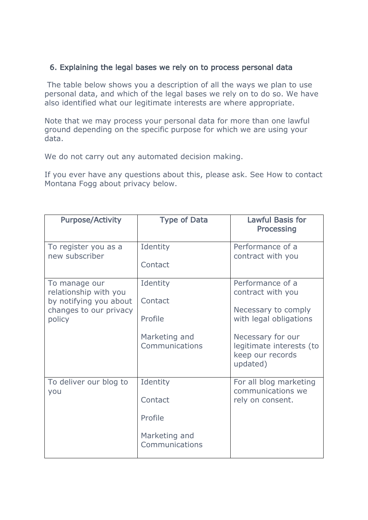## 6. Explaining the legal bases we rely on to process personal data

The table below shows you a description of all the ways we plan to use personal data, and which of the legal bases we rely on to do so. We have also identified what our legitimate interests are where appropriate.

Note that we may process your personal data for more than one lawful ground depending on the specific purpose for which we are using your data.

We do not carry out any automated decision making.

If you ever have any questions about this, please ask. See How to contact Montana Fogg about privacy below.

| <b>Purpose/Activity</b>                                                                              | <b>Type of Data</b>             | <b>Lawful Basis for</b><br><b>Processing</b>                                           |
|------------------------------------------------------------------------------------------------------|---------------------------------|----------------------------------------------------------------------------------------|
| To register you as a<br>new subscriber                                                               | Identity<br>Contact             | Performance of a<br>contract with you                                                  |
|                                                                                                      |                                 |                                                                                        |
| To manage our<br>relationship with you<br>by notifying you about<br>changes to our privacy<br>policy | Identity<br>Contact<br>Profile  | Performance of a<br>contract with you<br>Necessary to comply<br>with legal obligations |
|                                                                                                      | Marketing and<br>Communications | Necessary for our<br>legitimate interests (to<br>keep our records<br>updated)          |
| To deliver our blog to<br>you                                                                        | Identity<br>Contact             | For all blog marketing<br>communications we<br>rely on consent.                        |
|                                                                                                      | Profile                         |                                                                                        |
|                                                                                                      | Marketing and<br>Communications |                                                                                        |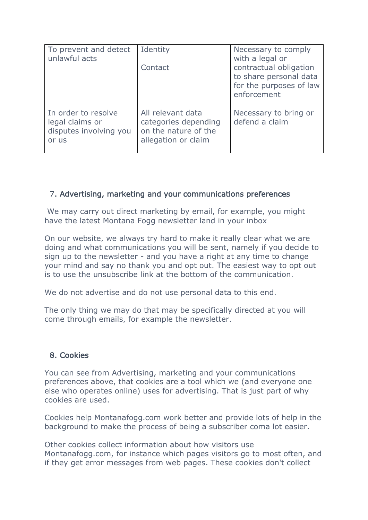| To prevent and detect<br>unlawful acts                                    | Identity<br>Contact                                                                      | Necessary to comply<br>with a legal or<br>contractual obligation<br>to share personal data<br>for the purposes of law<br>enforcement |
|---------------------------------------------------------------------------|------------------------------------------------------------------------------------------|--------------------------------------------------------------------------------------------------------------------------------------|
| In order to resolve<br>legal claims or<br>disputes involving you<br>or us | All relevant data<br>categories depending<br>on the nature of the<br>allegation or claim | Necessary to bring or<br>defend a claim                                                                                              |

## 7. Advertising, marketing and your communications preferences

We may carry out direct marketing by email, for example, you might have the latest Montana Fogg newsletter land in your inbox

On our website, we always try hard to make it really clear what we are doing and what communications you will be sent, namely if you decide to sign up to the newsletter - and you have a right at any time to change your mind and say no thank you and opt out. The easiest way to opt out is to use the unsubscribe link at the bottom of the communication.

We do not advertise and do not use personal data to this end.

The only thing we may do that may be specifically directed at you will come through emails, for example the newsletter.

## 8. Cookies

You can see from Advertising, marketing and your communications preferences above, that cookies are a tool which we (and everyone one else who operates online) uses for advertising. That is just part of why cookies are used.

Cookies help Montanafogg.com work better and provide lots of help in the background to make the process of being a subscriber coma lot easier.

Other cookies collect information about how visitors use Montanafogg.com, for instance which pages visitors go to most often, and if they get error messages from web pages. These cookies don't collect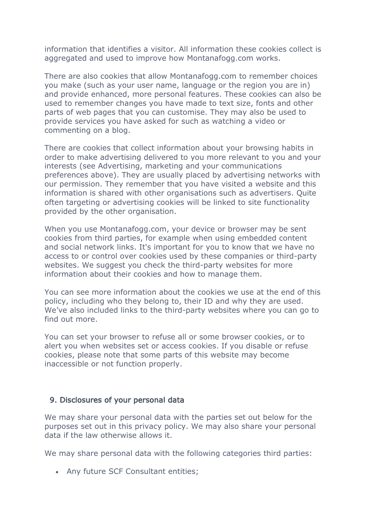information that identifies a visitor. All information these cookies collect is aggregated and used to improve how Montanafogg.com works.

There are also cookies that allow Montanafogg.com to remember choices you make (such as your user name, language or the region you are in) and provide enhanced, more personal features. These cookies can also be used to remember changes you have made to text size, fonts and other parts of web pages that you can customise. They may also be used to provide services you have asked for such as watching a video or commenting on a blog.

There are cookies that collect information about your browsing habits in order to make advertising delivered to you more relevant to you and your interests (see Advertising, marketing and your communications preferences above). They are usually placed by advertising networks with our permission. They remember that you have visited a website and this information is shared with other organisations such as advertisers. Quite often targeting or advertising cookies will be linked to site functionality provided by the other organisation.

When you use Montanafogg.com, your device or browser may be sent cookies from third parties, for example when using embedded content and social network links. It's important for you to know that we have no access to or control over cookies used by these companies or third-party websites. We suggest you check the third-party websites for more information about their cookies and how to manage them.

You can see more information about the cookies we use at the end of this policy, including who they belong to, their ID and why they are used. We've also included links to the third-party websites where you can go to find out more.

You can set your browser to refuse all or some browser cookies, or to alert you when websites set or access cookies. If you disable or refuse cookies, please note that some parts of this website may become inaccessible or not function properly.

## 9. Disclosures of your personal data

We may share your personal data with the parties set out below for the purposes set out in this privacy policy. We may also share your personal data if the law otherwise allows it.

We may share personal data with the following categories third parties:

• Any future SCF Consultant entities;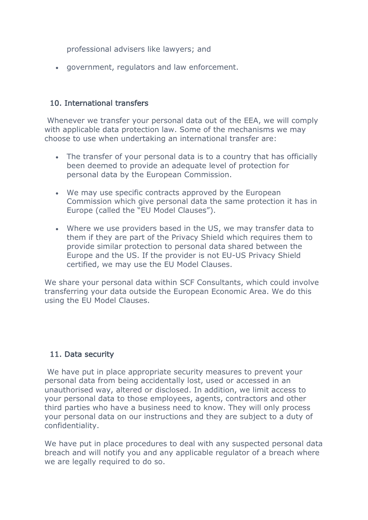professional advisers like lawyers; and

• government, regulators and law enforcement.

## 10. International transfers

Whenever we transfer your personal data out of the EEA, we will comply with applicable data protection law. Some of the mechanisms we may choose to use when undertaking an international transfer are:

- The transfer of your personal data is to a country that has officially been deemed to provide an adequate level of protection for personal data by the European Commission.
- We may use specific contracts approved by the European Commission which give personal data the same protection it has in Europe (called the "EU Model Clauses").
- Where we use providers based in the US, we may transfer data to them if they are part of the Privacy Shield which requires them to provide similar protection to personal data shared between the Europe and the US. If the provider is not EU-US Privacy Shield certified, we may use the EU Model Clauses.

We share your personal data within SCF Consultants, which could involve transferring your data outside the European Economic Area. We do this using the EU Model Clauses.

# 11. Data security

We have put in place appropriate security measures to prevent your personal data from being accidentally lost, used or accessed in an unauthorised way, altered or disclosed. In addition, we limit access to your personal data to those employees, agents, contractors and other third parties who have a business need to know. They will only process your personal data on our instructions and they are subject to a duty of confidentiality.

We have put in place procedures to deal with any suspected personal data breach and will notify you and any applicable regulator of a breach where we are legally required to do so.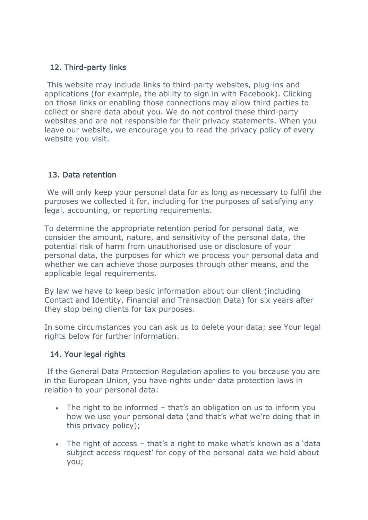# 12. Third-party links

This website may include links to third-party websites, plug-ins and applications (for example, the ability to sign in with Facebook). Clicking on those links or enabling those connections may allow third parties to collect or share data about you. We do not control these third-party websites and are not responsible for their privacy statements. When you leave our website, we encourage you to read the privacy policy of every website you visit.

# 13. Data retention

We will only keep your personal data for as long as necessary to fulfil the purposes we collected it for, including for the purposes of satisfying any legal, accounting, or reporting requirements.

To determine the appropriate retention period for personal data, we consider the amount, nature, and sensitivity of the personal data, the potential risk of harm from unauthorised use or disclosure of your personal data, the purposes for which we process your personal data and whether we can achieve those purposes through other means, and the applicable legal requirements.

By law we have to keep basic information about our client (including Contact and Identity, Financial and Transaction Data) for six years after they stop being clients for tax purposes.

In some circumstances you can ask us to delete your data; see Your legal rights below for further information.

# 14. Your legal rights

If the General Data Protection Regulation applies to you because you are in the European Union, you have rights under data protection laws in relation to your personal data:

- The right to be informed that's an obligation on us to inform you how we use your personal data (and that's what we're doing that in this privacy policy);
- The right of access that's a right to make what's known as a 'data subject access request' for copy of the personal data we hold about you;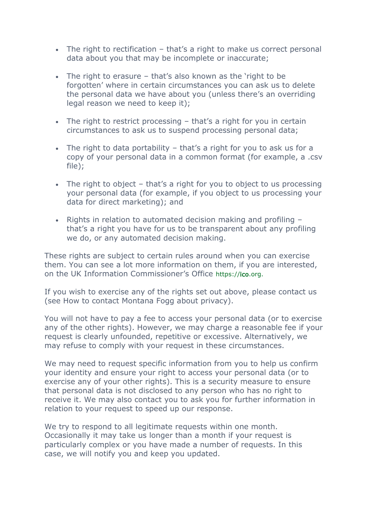- The right to rectification that's a right to make us correct personal data about you that may be incomplete or inaccurate;
- The right to erasure that's also known as the 'right to be forgotten' where in certain circumstances you can ask us to delete the personal data we have about you (unless there's an overriding legal reason we need to keep it);
- The right to restrict processing that's a right for you in certain circumstances to ask us to suspend processing personal data;
- The right to data portability that's a right for you to ask us for a copy of your personal data in a common format (for example, a .csv file);
- The right to object that's a right for you to object to us processing your personal data (for example, if you object to us processing your data for direct marketing); and
- Rights in relation to automated decision making and profiling that's a right you have for us to be transparent about any profiling we do, or any automated decision making.

These rights are subject to certain rules around when you can exercise them. You can see a lot more information on them, if you are interested, on the UK Information Commissioner's Office https://ico.org.

If you wish to exercise any of the rights set out above, please contact us (see How to contact Montana Fogg about privacy).

You will not have to pay a fee to access your personal data (or to exercise any of the other rights). However, we may charge a reasonable fee if your request is clearly unfounded, repetitive or excessive. Alternatively, we may refuse to comply with your request in these circumstances.

We may need to request specific information from you to help us confirm your identity and ensure your right to access your personal data (or to exercise any of your other rights). This is a security measure to ensure that personal data is not disclosed to any person who has no right to receive it. We may also contact you to ask you for further information in relation to your request to speed up our response.

We try to respond to all legitimate requests within one month. Occasionally it may take us longer than a month if your request is particularly complex or you have made a number of requests. In this case, we will notify you and keep you updated.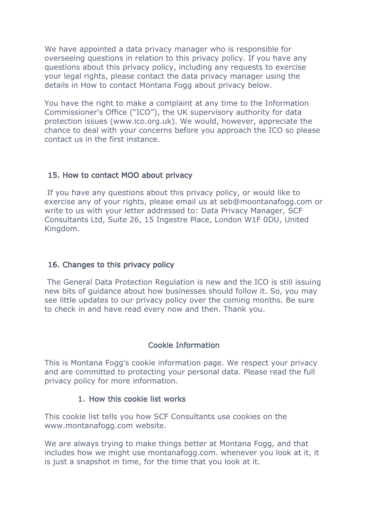We have appointed a data privacy manager who is responsible for overseeing questions in relation to this privacy policy. If you have any questions about this privacy policy, including any requests to exercise your legal rights, please contact the data privacy manager using the details in How to contact Montana Fogg about privacy below.

You have the right to make a complaint at any time to the Information Commissioner's Office ("ICO"), the UK supervisory authority for data protection issues (www.ico.org.uk). We would, however, appreciate the chance to deal with your concerns before you approach the ICO so please contact us in the first instance.

## 15. How to contact MOO about privacy

If you have any questions about this privacy policy, or would like to exercise any of your rights, please email us at seb@moontanafogg.com or write to us with your letter addressed to: Data Privacy Manager, SCF Consultants Ltd, Suite 26, 15 Ingestre Place, London W1F 0DU, United Kingdom.

## 16. Changes to this privacy policy

The General Data Protection Regulation is new and the ICO is still issuing new bits of guidance about how businesses should follow it. So, you may see little updates to our privacy policy over the coming months. Be sure to check in and have read every now and then. Thank you.

# Cookie Information

This is Montana Fogg's cookie information page. We respect your privacy and are committed to protecting your personal data. Please read the full privacy policy for more information.

## 1. How this cookie list works

This cookie list tells you how SCF Consultants use cookies on the www.montanafogg.com website.

We are always trying to make things better at Montana Fogg, and that includes how we might use montanafogg.com. whenever you look at it, it is just a snapshot in time, for the time that you look at it.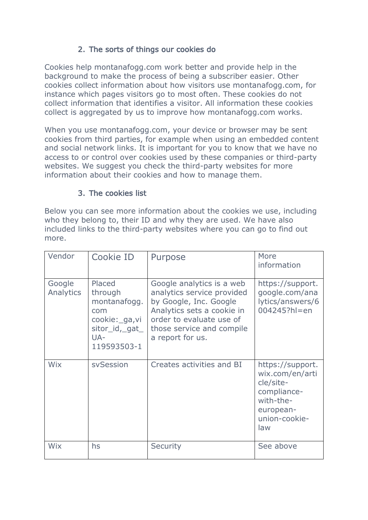# 2. The sorts of things our cookies do

Cookies help montanafogg.com work better and provide help in the background to make the process of being a subscriber easier. Other cookies collect information about how visitors use montanafogg.com, for instance which pages visitors go to most often. These cookies do not collect information that identifies a visitor. All information these cookies collect is aggregated by us to improve how montanafogg.com works.

When you use montanafogg.com, your device or browser may be sent cookies from third parties, for example when using an embedded content and social network links. It is important for you to know that we have no access to or control over cookies used by these companies or third-party websites. We suggest you check the third-party websites for more information about their cookies and how to manage them.

## 3. The cookies list

Below you can see more information about the cookies we use, including who they belong to, their ID and why they are used. We have also included links to the third-party websites where you can go to find out more.

| Vendor              | Cookie ID                                                                                          | Purpose                                                                                                                                                                                      | More<br>information                                                                                               |
|---------------------|----------------------------------------------------------------------------------------------------|----------------------------------------------------------------------------------------------------------------------------------------------------------------------------------------------|-------------------------------------------------------------------------------------------------------------------|
| Google<br>Analytics | Placed<br>through<br>montanafogg.<br>com<br>cookie: ga, vi<br>sitor_id,_gat_<br>UA-<br>119593503-1 | Google analytics is a web<br>analytics service provided<br>by Google, Inc. Google<br>Analytics sets a cookie in<br>order to evaluate use of<br>those service and compile<br>a report for us. | https://support.<br>google.com/ana<br>lytics/answers/6<br>004245?hl=en                                            |
| Wix                 | svSession                                                                                          | Creates activities and BI                                                                                                                                                                    | https://support.<br>wix.com/en/arti<br>cle/site-<br>compliance-<br>with-the-<br>european-<br>union-cookie-<br>law |
| Wix                 | hs                                                                                                 | <b>Security</b>                                                                                                                                                                              | See above                                                                                                         |